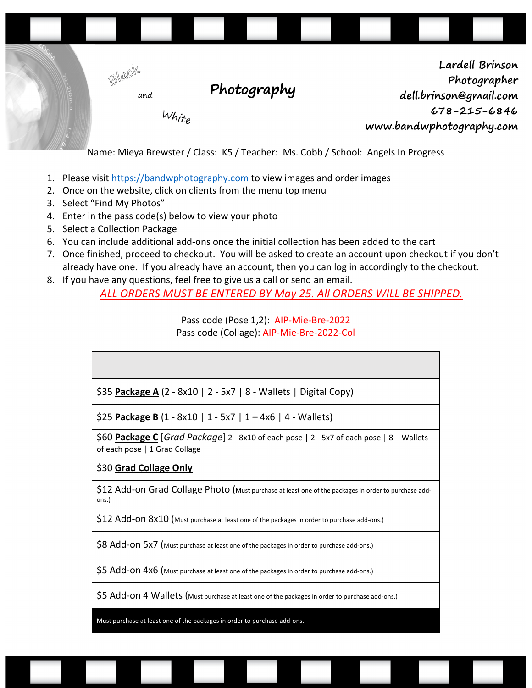

- 1. Please visit https://bandwphotography.com to view images and order images
- 2. Once on the website, click on clients from the menu top menu
- 3. Select "Find My Photos"
- 4. Enter in the pass code(s) below to view your photo
- 5. Select a Collection Package
- 6. You can include additional add-ons once the initial collection has been added to the cart
- 7. Once finished, proceed to checkout. You will be asked to create an account upon checkout if you don't already have one. If you already have an account, then you can log in accordingly to the checkout.
- 8. If you have any questions, feel free to give us a call or send an email.

*ALL ORDERS MUST BE ENTERED BY May 25. All ORDERS WILL BE SHIPPED.*

Pass code (Pose 1,2): AIP-Mie-Bre-2022 Pass code (Collage): AIP-Mie-Bre-2022-Col

| \$35 Package A (2 - 8x10   2 - 5x7   8 - Wallets   Digital Copy) |  |
|------------------------------------------------------------------|--|

\$25 **Package B** (1 - 8x10 | 1 - 5x7 | 1 – 4x6 | 4 - Wallets)

\$60 **Package C** [*Grad Package*] 2 - 8x10 of each pose | 2 - 5x7 of each pose | 8 – Wallets of each pose | 1 Grad Collage

#### \$30 **Grad Collage Only**

\$12 Add-on Grad Collage Photo (Must purchase at least one of the packages in order to purchase addons.)

\$12 Add-ON 8x10 (Must purchase at least one of the packages in order to purchase add-ons.)

\$8 Add-ON 5x7 (Must purchase at least one of the packages in order to purchase add-ons.)

\$5 Add-on 4x6 (Must purchase at least one of the packages in order to purchase add-ons.)

\$5 Add-on 4 Wallets (Must purchase at least one of the packages in order to purchase add-ons.)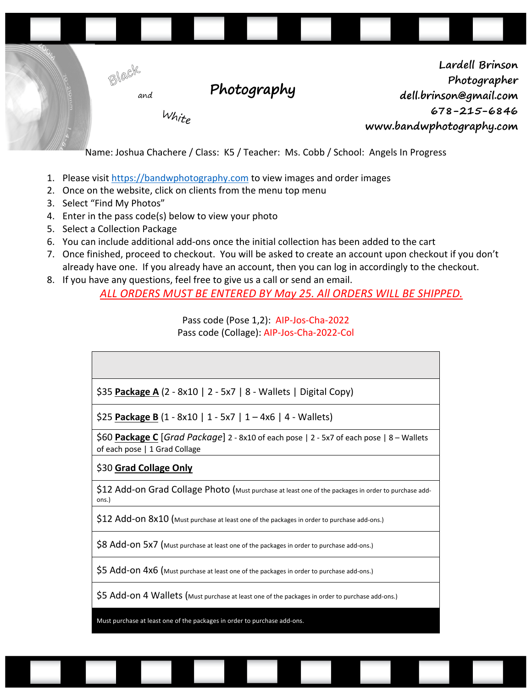

Name: Joshua Chachere / Class: K5 / Teacher: Ms. Cobb / School: Angels In Progress

- 1. Please visit https://bandwphotography.com to view images and order images
- 2. Once on the website, click on clients from the menu top menu
- 3. Select "Find My Photos"
- 4. Enter in the pass code(s) below to view your photo
- 5. Select a Collection Package
- 6. You can include additional add-ons once the initial collection has been added to the cart
- 7. Once finished, proceed to checkout. You will be asked to create an account upon checkout if you don't already have one. If you already have an account, then you can log in accordingly to the checkout.
- 8. If you have any questions, feel free to give us a call or send an email.

*ALL ORDERS MUST BE ENTERED BY May 25. All ORDERS WILL BE SHIPPED.*

Pass code (Pose 1,2): AIP-Jos-Cha-2022 Pass code (Collage): AIP-Jos-Cha-2022-Col

| \$35 Package A (2 - 8x10   2 - 5x7   8 - Wallets   Digital Copy)                                                     |
|----------------------------------------------------------------------------------------------------------------------|
| \$25 Package B $(1 - 8x10   1 - 5x7   1 - 4x6   4 - Wallest)$                                                        |
| \$60 Package C Grad Package 2 - 8x10 of each pose 2 - 5x7 of each pose 28 - Wallets<br>of each pose   1 Grad Collage |
| \$30 Grad Collage Only                                                                                               |
| \$12 Add-on Grad Collage Photo (Must purchase at least one of the packages in order to purchase add-<br>ons.)        |
| \$12 Add-on 8x10 (Must purchase at least one of the packages in order to purchase add-ons.)                          |
| \$8 Add-ON 5x7 (Must purchase at least one of the packages in order to purchase add-ons.)                            |
| \$5 Add-On 4x6 (Must purchase at least one of the packages in order to purchase add-ons.)                            |
| \$5 Add-on 4 Wallets (Must purchase at least one of the packages in order to purchase add-ons.)                      |
| $\sim$ $\sim$ $\sim$                                                                                                 |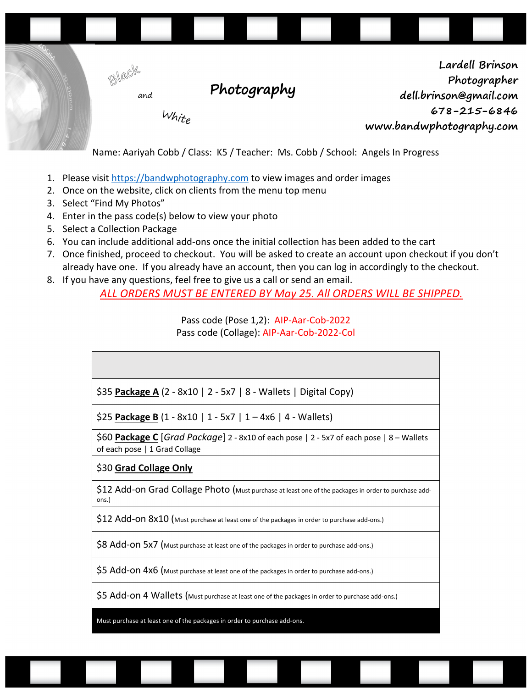

- 1. Please visit https://bandwphotography.com to view images and order images
- 2. Once on the website, click on clients from the menu top menu
- 3. Select "Find My Photos"
- 4. Enter in the pass code(s) below to view your photo
- 5. Select a Collection Package
- 6. You can include additional add-ons once the initial collection has been added to the cart
- 7. Once finished, proceed to checkout. You will be asked to create an account upon checkout if you don't already have one. If you already have an account, then you can log in accordingly to the checkout.
- 8. If you have any questions, feel free to give us a call or send an email.

*ALL ORDERS MUST BE ENTERED BY May 25. All ORDERS WILL BE SHIPPED.*

Pass code (Pose 1,2): AIP-Aar-Cob-2022 Pass code (Collage): AIP-Aar-Cob-2022-Col

| \$35 Package A (2 - 8x10   2 - 5x7   8 - Wallets   Digital Copy) |  |  |
|------------------------------------------------------------------|--|--|

\$25 **Package B** (1 - 8x10 | 1 - 5x7 | 1 – 4x6 | 4 - Wallets)

\$60 **Package C** [*Grad Package*] 2 - 8x10 of each pose | 2 - 5x7 of each pose | 8 – Wallets of each pose | 1 Grad Collage

#### \$30 **Grad Collage Only**

\$12 Add-on Grad Collage Photo (Must purchase at least one of the packages in order to purchase addons.)

\$12 Add-ON 8x10 (Must purchase at least one of the packages in order to purchase add-ons.)

\$8 Add-ON 5x7 (Must purchase at least one of the packages in order to purchase add-ons.)

\$5 Add-on 4x6 (Must purchase at least one of the packages in order to purchase add-ons.)

\$5 Add-on 4 Wallets (Must purchase at least one of the packages in order to purchase add-ons.)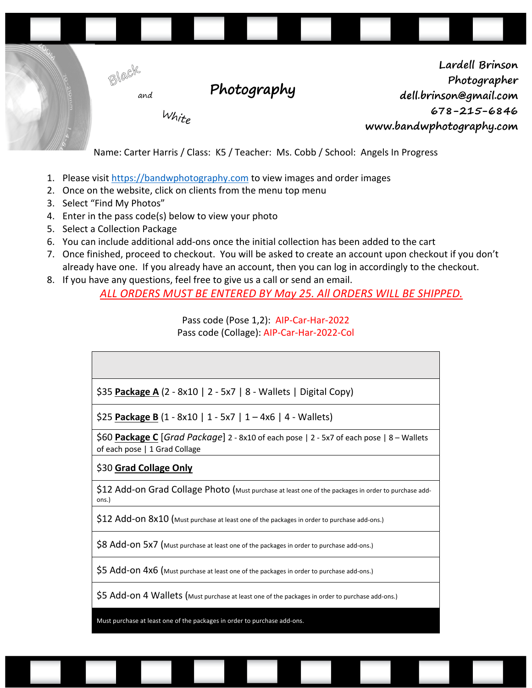

Name: Carter Harris / Class: K5 / Teacher: Ms. Cobb / School: Angels In Progress

- 1. Please visit https://bandwphotography.com to view images and order images
- 2. Once on the website, click on clients from the menu top menu
- 3. Select "Find My Photos"
- 4. Enter in the pass code(s) below to view your photo
- 5. Select a Collection Package
- 6. You can include additional add-ons once the initial collection has been added to the cart
- 7. Once finished, proceed to checkout. You will be asked to create an account upon checkout if you don't already have one. If you already have an account, then you can log in accordingly to the checkout.
- 8. If you have any questions, feel free to give us a call or send an email.

*ALL ORDERS MUST BE ENTERED BY May 25. All ORDERS WILL BE SHIPPED.*

Pass code (Pose 1,2): AIP-Car-Har-2022 Pass code (Collage): AIP-Car-Har-2022-Col

| \$35 Package A (2 - 8x10   2 - 5x7   8 - Wallets   Digital Copy)                                                     |
|----------------------------------------------------------------------------------------------------------------------|
| $$25$ Package B (1 - 8x10   1 - 5x7   1 - 4x6   4 - Wallets)                                                         |
| \$60 Package C Grad Package 2 - 8x10 of each pose 2 - 5x7 of each pose 28 - Wallets<br>of each pose   1 Grad Collage |
| \$30 Grad Collage Only                                                                                               |
| \$12 Add-on Grad Collage Photo (Must purchase at least one of the packages in order to purchase add-<br>ons.)        |
| \$12 Add-On 8x10 (Must purchase at least one of the packages in order to purchase add-ons.)                          |
| \$8 Add-ON 5x7 (Must purchase at least one of the packages in order to purchase add-ons.)                            |
| \$5 Add-on 4x6 (Must purchase at least one of the packages in order to purchase add-ons.)                            |
| \$5 Add-on 4 Wallets (Must purchase at least one of the packages in order to purchase add-ons.)                      |
| $\sim$ $\sim$ $\sim$                                                                                                 |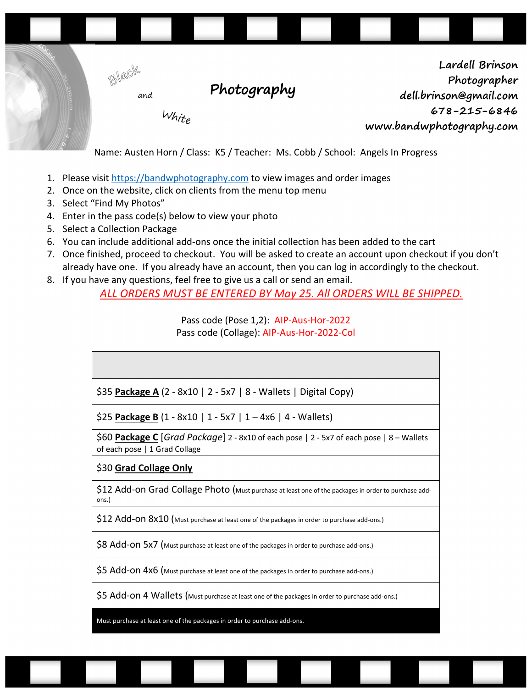

- 1. Please visit https://bandwphotography.com to view images and order images
- 2. Once on the website, click on clients from the menu top menu
- 3. Select "Find My Photos"
- 4. Enter in the pass code(s) below to view your photo
- 5. Select a Collection Package
- 6. You can include additional add-ons once the initial collection has been added to the cart
- 7. Once finished, proceed to checkout. You will be asked to create an account upon checkout if you don't already have one. If you already have an account, then you can log in accordingly to the checkout.
- 8. If you have any questions, feel free to give us a call or send an email.

*ALL ORDERS MUST BE ENTERED BY May 25. All ORDERS WILL BE SHIPPED.*

Pass code (Pose 1,2): AIP-Aus-Hor-2022 Pass code (Collage): AIP-Aus-Hor-2022-Col

| \$35 Package A (2 - 8x10   2 - 5x7   8 - Wallets   Digital Copy) |
|------------------------------------------------------------------|

\$25 **Package B** (1 - 8x10 | 1 - 5x7 | 1 – 4x6 | 4 - Wallets)

\$60 **Package C** [*Grad Package*] 2 - 8x10 of each pose | 2 - 5x7 of each pose | 8 – Wallets of each pose | 1 Grad Collage

#### \$30 **Grad Collage Only**

\$12 Add-on Grad Collage Photo (Must purchase at least one of the packages in order to purchase addons.)

\$12 Add-ON 8x10 (Must purchase at least one of the packages in order to purchase add-ons.)

\$8 Add-ON 5x7 (Must purchase at least one of the packages in order to purchase add-ons.)

\$5 Add-on 4x6 (Must purchase at least one of the packages in order to purchase add-ons.)

\$5 Add-on 4 Wallets (Must purchase at least one of the packages in order to purchase add-ons.)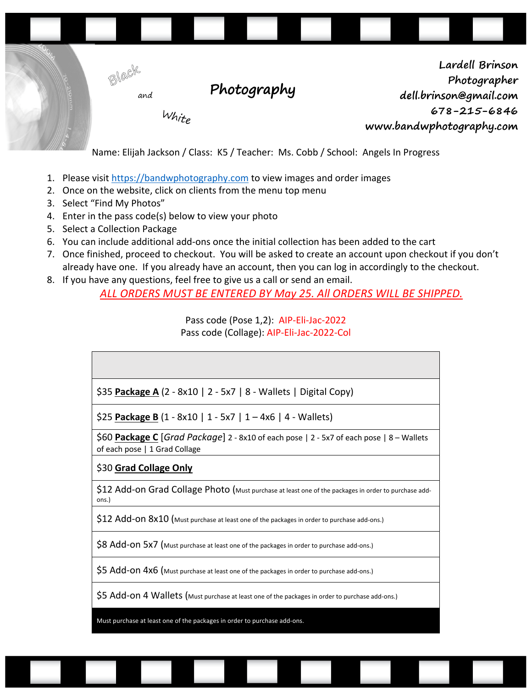

Name: Elijah Jackson / Class: K5 / Teacher: Ms. Cobb / School: Angels In Progress

- 1. Please visit https://bandwphotography.com to view images and order images
- 2. Once on the website, click on clients from the menu top menu
- 3. Select "Find My Photos"
- 4. Enter in the pass code(s) below to view your photo
- 5. Select a Collection Package
- 6. You can include additional add-ons once the initial collection has been added to the cart
- 7. Once finished, proceed to checkout. You will be asked to create an account upon checkout if you don't already have one. If you already have an account, then you can log in accordingly to the checkout.
- 8. If you have any questions, feel free to give us a call or send an email.

*ALL ORDERS MUST BE ENTERED BY May 25. All ORDERS WILL BE SHIPPED.*

Pass code (Pose 1,2): AIP-Eli-Jac-2022 Pass code (Collage): AIP-Eli-Jac-2022-Col

| \$35 <b>Package A</b> (2 - 8x10   2 - 5x7   8 - Wallets   Digital Copy) |
|-------------------------------------------------------------------------|

\$25 **Package B** (1 - 8x10 | 1 - 5x7 | 1 – 4x6 | 4 - Wallets)

\$60 **Package C** [*Grad Package*] 2 - 8x10 of each pose | 2 - 5x7 of each pose | 8 – Wallets of each pose | 1 Grad Collage

# \$30 **Grad Collage Only**

\$12 Add-on Grad Collage Photo (Must purchase at least one of the packages in order to purchase addons.)

\$12 Add-ON 8x10 (Must purchase at least one of the packages in order to purchase add-ons.)

\$8 Add-ON 5x7 (Must purchase at least one of the packages in order to purchase add-ons.)

\$5 Add-on 4x6 (Must purchase at least one of the packages in order to purchase add-ons.)

\$5 Add-on 4 Wallets (Must purchase at least one of the packages in order to purchase add-ons.)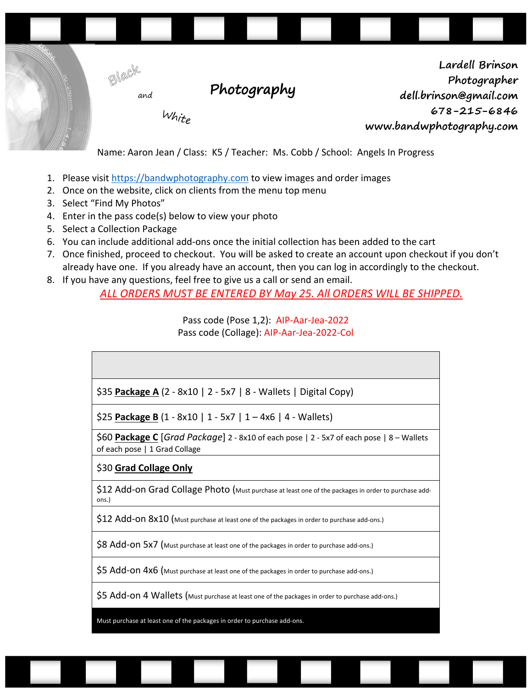

- 1. Please visit https://bandwphotography.com to view images and order images
- 2. Once on the website, click on clients from the menu top menu
- 3. Select "Find My Photos"
- 4. Enter in the pass code(s) below to view your photo
- 5. Select a Collection Package
- 6. You can include additional add-ons once the initial collection has been added to the cart
- 7. Once finished, proceed to checkout. You will be asked to create an account upon checkout if you don't already have one. If you already have an account, then you can log in accordingly to the checkout.
- 8. If you have any questions, feel free to give us a call or send an email.

*ALL ORDERS MUST BE ENTERED BY May 25. All ORDERS WILL BE SHIPPED.*

Pass code (Pose 1,2): AIP-Aar-Jea-2022 Pass code (Collage): AIP-Aar-Jea-2022-Col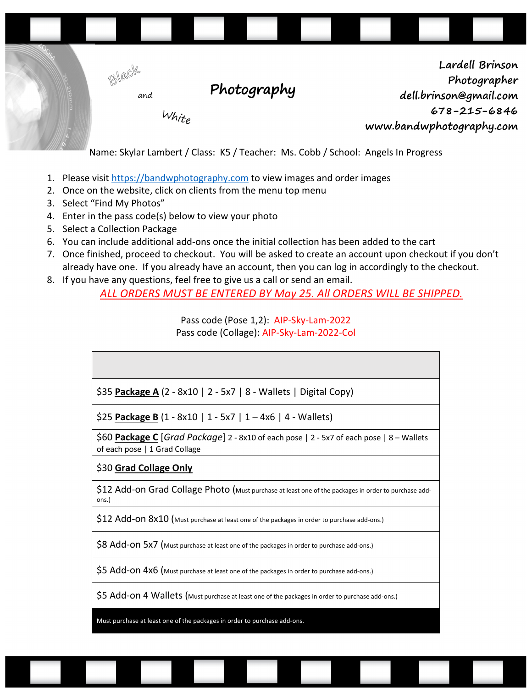

Name: Skylar Lambert / Class: K5 / Teacher: Ms. Cobb / School: Angels In Progress

- 1. Please visit https://bandwphotography.com to view images and order images
- 2. Once on the website, click on clients from the menu top menu
- 3. Select "Find My Photos"
- 4. Enter in the pass code(s) below to view your photo
- 5. Select a Collection Package
- 6. You can include additional add-ons once the initial collection has been added to the cart
- 7. Once finished, proceed to checkout. You will be asked to create an account upon checkout if you don't already have one. If you already have an account, then you can log in accordingly to the checkout.
- 8. If you have any questions, feel free to give us a call or send an email.

*ALL ORDERS MUST BE ENTERED BY May 25. All ORDERS WILL BE SHIPPED.*

Pass code (Pose 1,2): AIP-Sky-Lam-2022 Pass code (Collage): AIP-Sky-Lam-2022-Col

| \$35 Package A (2 - 8x10   2 - 5x7   8 - Wallets   Digital Copy) |
|------------------------------------------------------------------|

\$25 **Package B** (1 - 8x10 | 1 - 5x7 | 1 – 4x6 | 4 - Wallets)

\$60 **Package C** [*Grad Package*] 2 - 8x10 of each pose | 2 - 5x7 of each pose | 8 – Wallets of each pose | 1 Grad Collage

#### \$30 **Grad Collage Only**

\$12 Add-on Grad Collage Photo (Must purchase at least one of the packages in order to purchase addons.)

\$12 Add-ON 8x10 (Must purchase at least one of the packages in order to purchase add-ons.)

\$8 Add-ON 5x7 (Must purchase at least one of the packages in order to purchase add-ons.)

\$5 Add-on 4x6 (Must purchase at least one of the packages in order to purchase add-ons.)

\$5 Add-on 4 Wallets (Must purchase at least one of the packages in order to purchase add-ons.)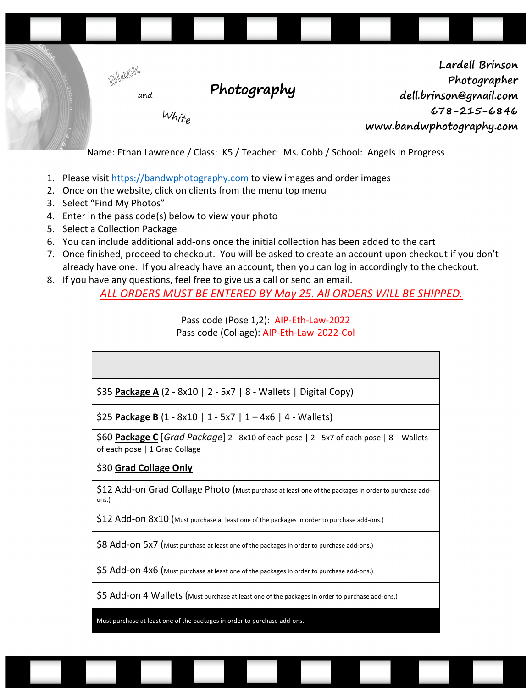

- 1. Please visit https://bandwphotography.com to view images and order images
- 2. Once on the website, click on clients from the menu top menu
- 3. Select "Find My Photos"
- 4. Enter in the pass code(s) below to view your photo
- 5. Select a Collection Package
- 6. You can include additional add-ons once the initial collection has been added to the cart
- 7. Once finished, proceed to checkout. You will be asked to create an account upon checkout if you don't already have one. If you already have an account, then you can log in accordingly to the checkout.
- 8. If you have any questions, feel free to give us a call or send an email.

*ALL ORDERS MUST BE ENTERED BY May 25. All ORDERS WILL BE SHIPPED.*

Pass code (Pose 1,2): AIP-Eth-Law-2022 Pass code (Collage): AIP-Eth-Law-2022-Col

| \$35 <b>Package A</b> (2 - 8x10   2 - 5x7   8 - Wallets   Digital Copy)                                              |
|----------------------------------------------------------------------------------------------------------------------|
| \$25 Package B $(1 - 8x10   1 - 5x7   1 - 4x6   4 - Wallest)$                                                        |
| \$60 Package C Grad Package 2 - 8x10 of each pose 2 - 5x7 of each pose 28 - Wallets<br>of each pose   1 Grad Collage |
| \$30 Grad Collage Only                                                                                               |
| \$12 Add-on Grad Collage Photo (Must purchase at least one of the packages in order to purchase add-<br>ons.)        |
| $$12$ Add-ON $8x10$ (Must purchase at least one of the packages in order to purchase add-ons.)                       |
| \$8 Add-ON 5x7 (Must purchase at least one of the packages in order to purchase add-ons.)                            |
| \$5 Add-On 4x6 (Must purchase at least one of the packages in order to purchase add-ons.)                            |
| \$5 Add-on 4 Wallets (Must purchase at least one of the packages in order to purchase add-ons.)                      |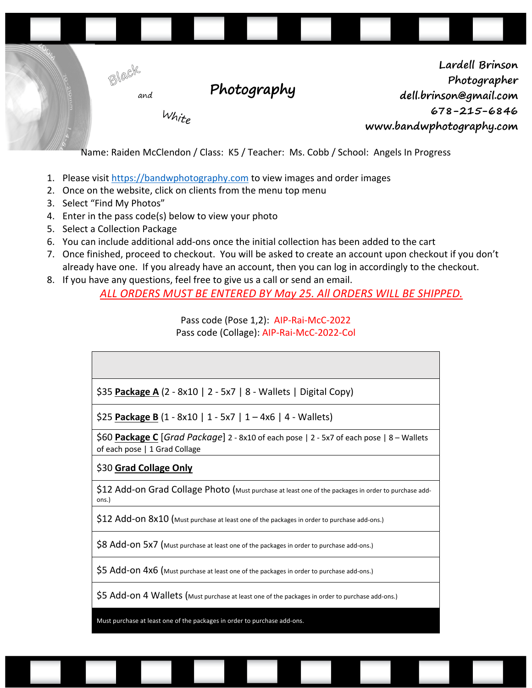

Name: Raiden McClendon / Class: K5 / Teacher: Ms. Cobb / School: Angels In Progress

- 1. Please visit https://bandwphotography.com to view images and order images
- 2. Once on the website, click on clients from the menu top menu
- 3. Select "Find My Photos"
- 4. Enter in the pass code(s) below to view your photo
- 5. Select a Collection Package
- 6. You can include additional add-ons once the initial collection has been added to the cart
- 7. Once finished, proceed to checkout. You will be asked to create an account upon checkout if you don't already have one. If you already have an account, then you can log in accordingly to the checkout.
- 8. If you have any questions, feel free to give us a call or send an email.

*ALL ORDERS MUST BE ENTERED BY May 25. All ORDERS WILL BE SHIPPED.*

Pass code (Pose 1,2): AIP-Rai-McC-2022 Pass code (Collage): AIP-Rai-McC-2022-Col

| $\frac{1}{2}$ \$35 <b>Package A</b> (2 - 8x10   2 - 5x7   8 - Wallets   Digital Copy) |  |
|---------------------------------------------------------------------------------------|--|
| \$25 <b>Package B</b> (1 - 8x10   1 - 5x7   1 – 4x6   4 - Wallets)                    |  |

\$60 **Package C** [*Grad Package*] 2 - 8x10 of each pose | 2 - 5x7 of each pose | 8 – Wallets of each pose | 1 Grad Collage

# \$30 **Grad Collage Only**

\$12 Add-on Grad Collage Photo (Must purchase at least one of the packages in order to purchase addons.)

\$12 Add-ON 8x10 (Must purchase at least one of the packages in order to purchase add-ons.)

\$8 Add-ON 5x7 (Must purchase at least one of the packages in order to purchase add-ons.)

\$5 Add-on 4x6 (Must purchase at least one of the packages in order to purchase add-ons.)

\$5 Add-on 4 Wallets (Must purchase at least one of the packages in order to purchase add-ons.)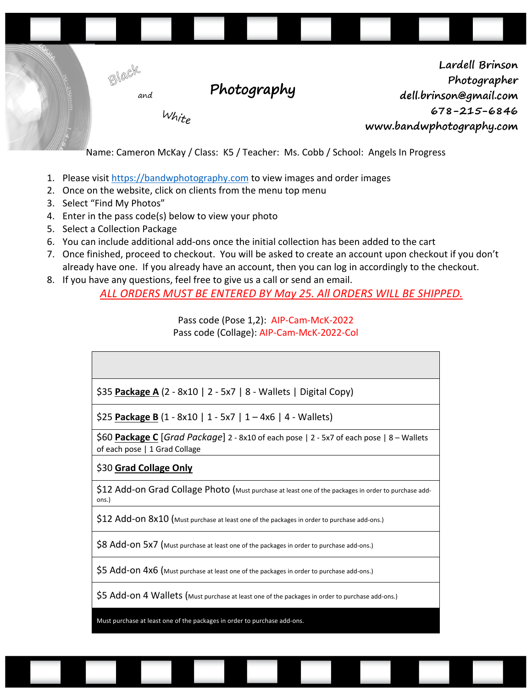

Name: Cameron McKay / Class: K5 / Teacher: Ms. Cobb / School: Angels In Progress

- 1. Please visit https://bandwphotography.com to view images and order images
- 2. Once on the website, click on clients from the menu top menu
- 3. Select "Find My Photos"
- 4. Enter in the pass code(s) below to view your photo
- 5. Select a Collection Package
- 6. You can include additional add-ons once the initial collection has been added to the cart
- 7. Once finished, proceed to checkout. You will be asked to create an account upon checkout if you don't already have one. If you already have an account, then you can log in accordingly to the checkout.
- 8. If you have any questions, feel free to give us a call or send an email.

*ALL ORDERS MUST BE ENTERED BY May 25. All ORDERS WILL BE SHIPPED.*

Pass code (Pose 1,2): AIP-Cam-McK-2022 Pass code (Collage): AIP-Cam-McK-2022-Col

| \$35 Package A (2 - 8x10   2 - 5x7   8 - Wallets   Digital Copy) |  |  |  |
|------------------------------------------------------------------|--|--|--|
|------------------------------------------------------------------|--|--|--|

\$25 **Package B** (1 - 8x10 | 1 - 5x7 | 1 – 4x6 | 4 - Wallets)

\$60 **Package C** [*Grad Package*] 2 - 8x10 of each pose | 2 - 5x7 of each pose | 8 – Wallets of each pose | 1 Grad Collage

#### \$30 **Grad Collage Only**

\$12 Add-on Grad Collage Photo (Must purchase at least one of the packages in order to purchase addons.)

\$12 Add-ON 8x10 (Must purchase at least one of the packages in order to purchase add-ons.)

\$8 Add-ON 5x7 (Must purchase at least one of the packages in order to purchase add-ons.)

\$5 Add-on 4x6 (Must purchase at least one of the packages in order to purchase add-ons.)

\$5 Add-on 4 Wallets (Must purchase at least one of the packages in order to purchase add-ons.)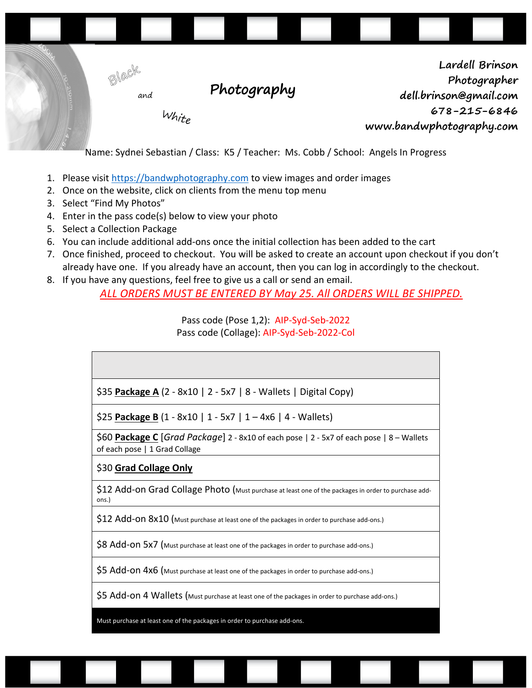

Name: Sydnei Sebastian / Class: K5 / Teacher: Ms. Cobb / School: Angels In Progress

- 1. Please visit https://bandwphotography.com to view images and order images
- 2. Once on the website, click on clients from the menu top menu
- 3. Select "Find My Photos"
- 4. Enter in the pass code(s) below to view your photo
- 5. Select a Collection Package
- 6. You can include additional add-ons once the initial collection has been added to the cart
- 7. Once finished, proceed to checkout. You will be asked to create an account upon checkout if you don't already have one. If you already have an account, then you can log in accordingly to the checkout.
- 8. If you have any questions, feel free to give us a call or send an email.

*ALL ORDERS MUST BE ENTERED BY May 25. All ORDERS WILL BE SHIPPED.*

Pass code (Pose 1,2): AIP-Syd-Seb-2022 Pass code (Collage): AIP-Syd-Seb-2022-Col

| \$35 Package A (2 - 8x10   2 - 5x7   8 - Wallets   Digital Copy) |
|------------------------------------------------------------------|

\$25 **Package B** (1 - 8x10 | 1 - 5x7 | 1 – 4x6 | 4 - Wallets)

\$60 **Package C** [*Grad Package*] 2 - 8x10 of each pose | 2 - 5x7 of each pose | 8 – Wallets of each pose | 1 Grad Collage

#### \$30 **Grad Collage Only**

\$12 Add-on Grad Collage Photo (Must purchase at least one of the packages in order to purchase addons.)

\$12 Add-ON 8x10 (Must purchase at least one of the packages in order to purchase add-ons.)

\$8 Add-ON 5x7 (Must purchase at least one of the packages in order to purchase add-ons.)

\$5 Add-on 4x6 (Must purchase at least one of the packages in order to purchase add-ons.)

\$5 Add-on 4 Wallets (Must purchase at least one of the packages in order to purchase add-ons.)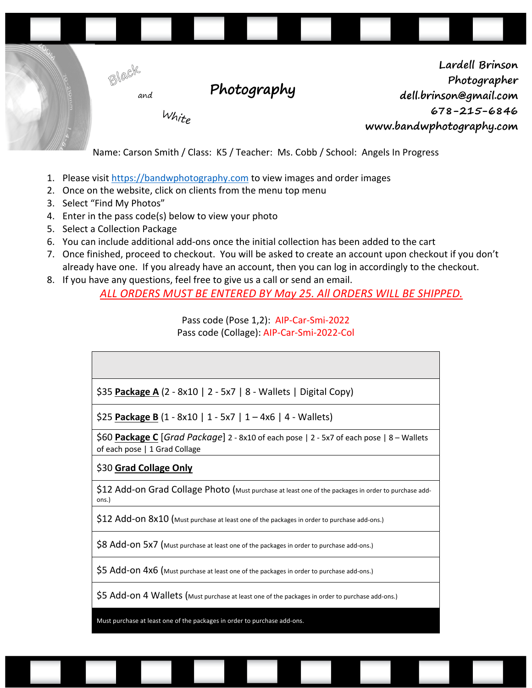

Name: Carson Smith / Class: K5 / Teacher: Ms. Cobb / School: Angels In Progress

- 1. Please visit https://bandwphotography.com to view images and order images
- 2. Once on the website, click on clients from the menu top menu
- 3. Select "Find My Photos"
- 4. Enter in the pass code(s) below to view your photo
- 5. Select a Collection Package
- 6. You can include additional add-ons once the initial collection has been added to the cart
- 7. Once finished, proceed to checkout. You will be asked to create an account upon checkout if you don't already have one. If you already have an account, then you can log in accordingly to the checkout.
- 8. If you have any questions, feel free to give us a call or send an email.

*ALL ORDERS MUST BE ENTERED BY May 25. All ORDERS WILL BE SHIPPED.*

Pass code (Pose 1,2): AIP-Car-Smi-2022 Pass code (Collage): AIP-Car-Smi-2022-Col

| \$35 Package A (2 - 8x10   2 - 5x7   8 - Wallets   Digital Copy)                                                          |
|---------------------------------------------------------------------------------------------------------------------------|
| \$25 Package B $(1 - 8x10 \mid 1 - 5x7 \mid 1 - 4x6 \mid 4 - Wallets)$                                                    |
| \$60 Package C [Grad Package] 2 - 8x10 of each pose   2 - 5x7 of each pose   8 - Wallets<br>of each pose   1 Grad Collage |
| \$30 Grad Collage Only                                                                                                    |
| \$12 Add-on Grad Collage Photo (Must purchase at least one of the packages in order to purchase add-<br>ons.)             |
| \$12 Add-ON 8x10 (Must purchase at least one of the packages in order to purchase add-ons.)                               |

\$8 Add-ON 5x7 (Must purchase at least one of the packages in order to purchase add-ons.)

\$5 Add-on 4x6 (Must purchase at least one of the packages in order to purchase add-ons.)

\$5 Add-on 4 Wallets (Must purchase at least one of the packages in order to purchase add-ons.)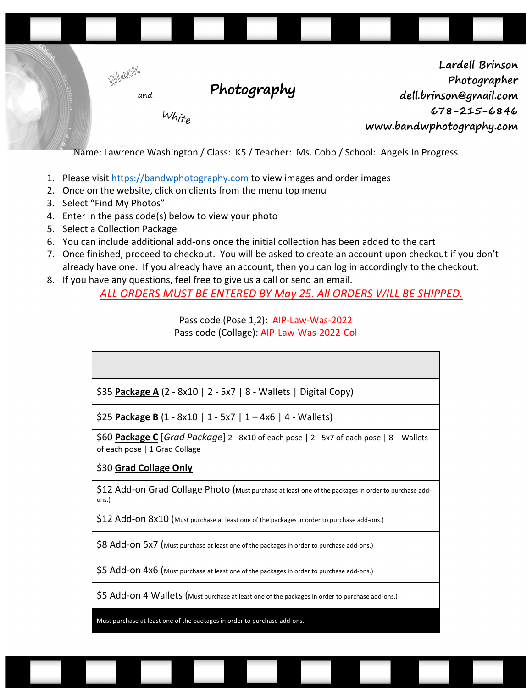

Name: Lawrence Washington / Class: K5 / Teacher: Ms. Cobb / School: Angels In Progress

- 1. Please visit https://bandwphotography.com to view images and order images
- 2. Once on the website, click on clients from the menu top menu
- 3. Select "Find My Photos"
- 4. Enter in the pass code(s) below to view your photo
- 5. Select a Collection Package
- 6. You can include additional add-ons once the initial collection has been added to the cart
- 7. Once finished, proceed to checkout. You will be asked to create an account upon checkout if you don't already have one. If you already have an account, then you can log in accordingly to the checkout.
- 8. If you have any questions, feel free to give us a call or send an email.

*ALL ORDERS MUST BE ENTERED BY May 25. All ORDERS WILL BE SHIPPED.*

Pass code (Pose 1,2): AIP-Law-Was-2022 Pass code (Collage): AIP-Law-Was-2022-Col

| \$35 Package A (2 - 8x10   2 - 5x7   8 - Wallets   Digital Copy)                                                                               |
|------------------------------------------------------------------------------------------------------------------------------------------------|
| \$25 Package B $(1 - 8x10   1 - 5x7   1 - 4x6   4 - Wallets)$                                                                                  |
| \$60 Package C $\lceil$ Grad Package 2 - 8x10 of each pose $\lceil$ 2 - 5x7 of each pose $\lceil$ 8 – Wallets<br>of each pose   1 Grad Collage |
| \$30 Grad Collage Only                                                                                                                         |
| \$12 Add-on Grad Collage Photo (Must purchase at least one of the packages in order to purchase add-<br>ons.)                                  |
| \$12 Add-On 8x10 (Must purchase at least one of the packages in order to purchase add-ons.)                                                    |
| \$8 Add-ON 5x7 (Must purchase at least one of the packages in order to purchase add-ons.)                                                      |
| \$5 Add-On 4x6 (Must purchase at least one of the packages in order to purchase add-ons.)                                                      |
| \$5 Add-on 4 Wallets (Must purchase at least one of the packages in order to purchase add-ons.)                                                |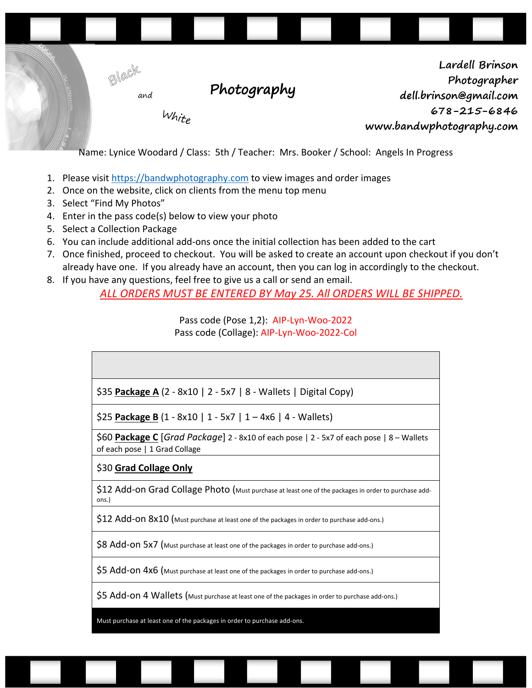

Name: Lynice Woodard / Class: 5th / Teacher: Mrs. Booker / School: Angels In Progress

- 1. Please visit https://bandwphotography.com to view images and order images
- 2. Once on the website, click on clients from the menu top menu
- 3. Select "Find My Photos"
- 4. Enter in the pass code(s) below to view your photo
- 5. Select a Collection Package
- 6. You can include additional add-ons once the initial collection has been added to the cart
- 7. Once finished, proceed to checkout. You will be asked to create an account upon checkout if you don't already have one. If you already have an account, then you can log in accordingly to the checkout.
- 8. If you have any questions, feel free to give us a call or send an email.

*ALL ORDERS MUST BE ENTERED BY May 25. All ORDERS WILL BE SHIPPED.*

Pass code (Pose 1,2): AIP-Lyn-Woo-2022 Pass code (Collage): AIP-Lyn-Woo-2022-Col

| \$35 <b>Package A</b> (2 - 8x10   2 - 5x7   8 - Wallets   Digital Copy)                                                   |
|---------------------------------------------------------------------------------------------------------------------------|
| \$25 Package B $(1 - 8x10   1 - 5x7   1 - 4x6   4 - Wallest)$                                                             |
| \$60 Package C [Grad Package] 2 - 8x10 of each pose   2 - 5x7 of each pose   8 - Wallets<br>of each pose   1 Grad Collage |
| \$30 Grad Collage Only                                                                                                    |
| \$12 Add-on Grad Collage Photo (Must purchase at least one of the packages in order to purchase add-<br>ons.)             |
| \$12 Add-ON 8x10 (Must purchase at least one of the packages in order to purchase add-ons.)                               |
| \$8 Add-ON 5x7 (Must purchase at least one of the packages in order to purchase add-ons.)                                 |
| \$5 Add-On 4x6 (Must purchase at least one of the packages in order to purchase add-ons.)                                 |
| \$5 Add-on 4 Wallets (Must purchase at least one of the packages in order to purchase add-ons.)                           |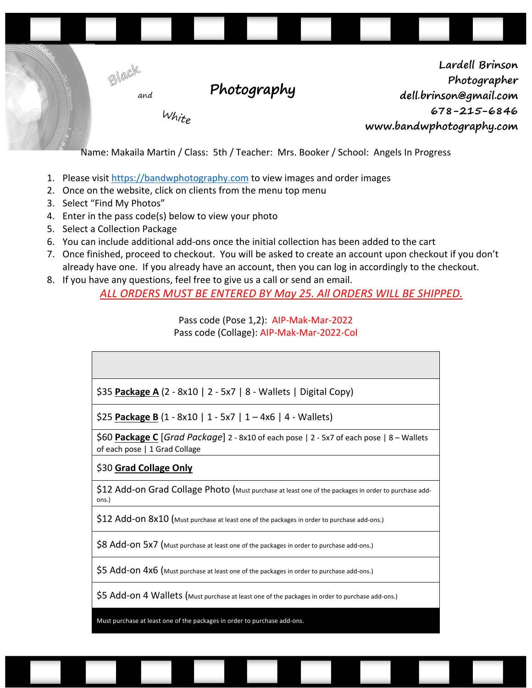

Name: Makaila Martin / Class: 5th / Teacher: Mrs. Booker / School: Angels In Progress

- 1. Please visit https://bandwphotography.com to view images and order images
- 2. Once on the website, click on clients from the menu top menu
- 3. Select "Find My Photos"
- 4. Enter in the pass code(s) below to view your photo
- 5. Select a Collection Package
- 6. You can include additional add-ons once the initial collection has been added to the cart
- 7. Once finished, proceed to checkout. You will be asked to create an account upon checkout if you don't already have one. If you already have an account, then you can log in accordingly to the checkout.
- 8. If you have any questions, feel free to give us a call or send an email.

*ALL ORDERS MUST BE ENTERED BY May 25. All ORDERS WILL BE SHIPPED.*

Pass code (Pose 1,2): AIP-Mak-Mar-2022 Pass code (Collage): AIP-Mak-Mar-2022-Col

| \$35 Package A (2 - 8x10   2 - 5x7   8 - Wallets   Digital Copy)                                                             |
|------------------------------------------------------------------------------------------------------------------------------|
| \$25 Package B $(1 - 8x10 \mid 1 - 5x7 \mid 1 - 4x6 \mid 4 - Wallets)$                                                       |
| \$60 Package C $[Grad$ Package 2 - 8x10 of each pose $ 2 - 5x7$ of each pose $ 8 -$ Wallets<br>of each pose   1 Grad Collage |
| \$30 Grad Collage Only                                                                                                       |
| \$12 Add-on Grad Collage Photo (Must purchase at least one of the packages in order to purchase add-<br>ons.)                |
| \$12 Add-ON 8x10 (Must purchase at least one of the packages in order to purchase add-ons.)                                  |

\$8 Add-on 5x7 (Must purchase at least one of the packages in order to purchase add-ons.)

\$5 Add-on 4x6 (Must purchase at least one of the packages in order to purchase add-ons.)

\$5 Add-on 4 Wallets (Must purchase at least one of the packages in order to purchase add-ons.)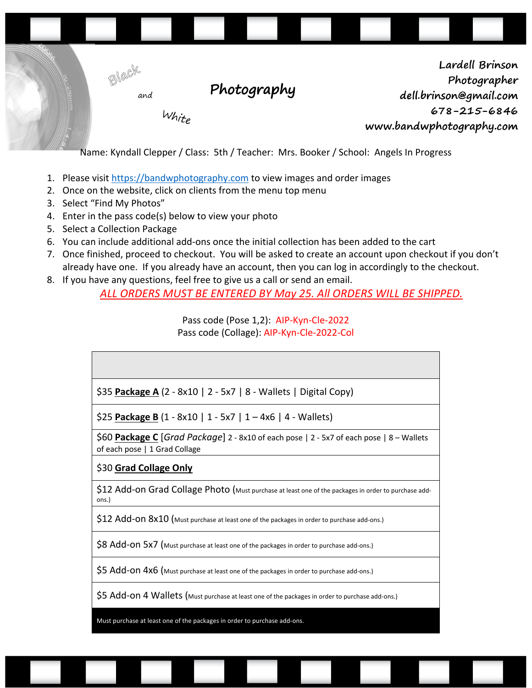

Name: Kyndall Clepper / Class: 5th / Teacher: Mrs. Booker / School: Angels In Progress

- 1. Please visit https://bandwphotography.com to view images and order images
- 2. Once on the website, click on clients from the menu top menu
- 3. Select "Find My Photos"
- 4. Enter in the pass code(s) below to view your photo
- 5. Select a Collection Package
- 6. You can include additional add-ons once the initial collection has been added to the cart
- 7. Once finished, proceed to checkout. You will be asked to create an account upon checkout if you don't already have one. If you already have an account, then you can log in accordingly to the checkout.
- 8. If you have any questions, feel free to give us a call or send an email.

*ALL ORDERS MUST BE ENTERED BY May 25. All ORDERS WILL BE SHIPPED.*

Pass code (Pose 1,2): AIP-Kyn-Cle-2022 Pass code (Collage): AIP-Kyn-Cle-2022-Col

| \$35 Package A (2 - 8x10   2 - 5x7   8 - Wallets   Digital Copy)                                                          |
|---------------------------------------------------------------------------------------------------------------------------|
| \$25 Package B $(1 - 8x10   1 - 5x7   1 - 4x6   4 - Wallest)$                                                             |
| \$60 Package C [Grad Package] 2 - 8x10 of each pose   2 - 5x7 of each pose   8 - Wallets<br>of each pose   1 Grad Collage |
| \$30 Grad Collage Only                                                                                                    |
| \$12 Add-on Grad Collage Photo (Must purchase at least one of the packages in order to purchase add-<br>ons.)             |
| \$12 Add-On 8x10 (Must purchase at least one of the packages in order to purchase add-ons.)                               |
| \$8 Add-ON 5x7 (Must purchase at least one of the packages in order to purchase add-ons.)                                 |
| \$5 Add-On 4x6 (Must purchase at least one of the packages in order to purchase add-ons.)                                 |
| \$5 Add-on 4 Wallets (Must purchase at least one of the packages in order to purchase add-ons.)                           |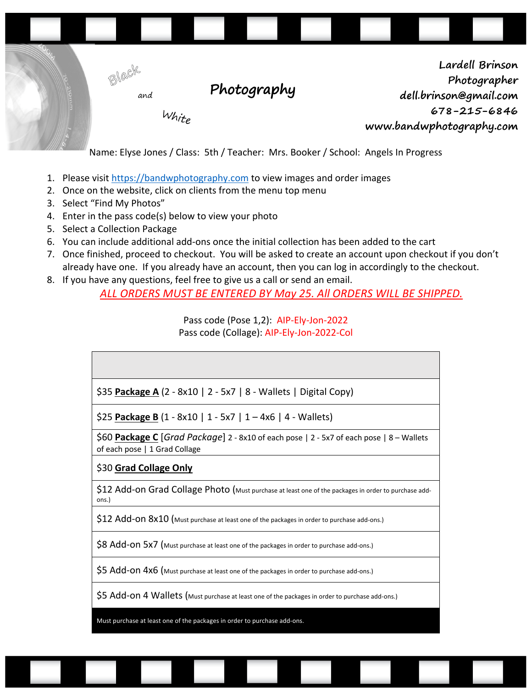

Name: Elyse Jones / Class: 5th / Teacher: Mrs. Booker / School: Angels In Progress

- 1. Please visit https://bandwphotography.com to view images and order images
- 2. Once on the website, click on clients from the menu top menu
- 3. Select "Find My Photos"
- 4. Enter in the pass code(s) below to view your photo
- 5. Select a Collection Package
- 6. You can include additional add-ons once the initial collection has been added to the cart
- 7. Once finished, proceed to checkout. You will be asked to create an account upon checkout if you don't already have one. If you already have an account, then you can log in accordingly to the checkout.
- 8. If you have any questions, feel free to give us a call or send an email.

*ALL ORDERS MUST BE ENTERED BY May 25. All ORDERS WILL BE SHIPPED.*

Pass code (Pose 1,2): AIP-Ely-Jon-2022 Pass code (Collage): AIP-Ely-Jon-2022-Col

| $\frac{1}{2}$ \$35 Package A (2 - 8x10   2 - 5x7   8 - Wallets   Digital Copy) |
|--------------------------------------------------------------------------------|

\$25 **Package B** (1 - 8x10 | 1 - 5x7 | 1 – 4x6 | 4 - Wallets)

\$60 **Package C** [*Grad Package*] 2 - 8x10 of each pose | 2 - 5x7 of each pose | 8 – Wallets of each pose | 1 Grad Collage

# \$30 **Grad Collage Only**

\$12 Add-on Grad Collage Photo (Must purchase at least one of the packages in order to purchase addons.)

\$12 Add-ON 8x10 (Must purchase at least one of the packages in order to purchase add-ons.)

\$8 Add-ON 5x7 (Must purchase at least one of the packages in order to purchase add-ons.)

\$5 Add-on 4x6 (Must purchase at least one of the packages in order to purchase add-ons.)

\$5 Add-on 4 Wallets (Must purchase at least one of the packages in order to purchase add-ons.)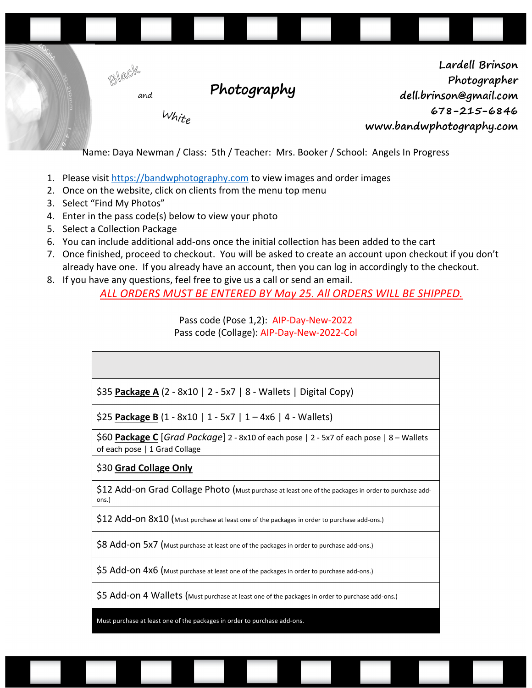

Name: Daya Newman / Class: 5th / Teacher: Mrs. Booker / School: Angels In Progress

- 1. Please visit https://bandwphotography.com to view images and order images
- 2. Once on the website, click on clients from the menu top menu
- 3. Select "Find My Photos"
- 4. Enter in the pass code(s) below to view your photo
- 5. Select a Collection Package
- 6. You can include additional add-ons once the initial collection has been added to the cart
- 7. Once finished, proceed to checkout. You will be asked to create an account upon checkout if you don't already have one. If you already have an account, then you can log in accordingly to the checkout.
- 8. If you have any questions, feel free to give us a call or send an email.

*ALL ORDERS MUST BE ENTERED BY May 25. All ORDERS WILL BE SHIPPED.*

Pass code (Pose 1,2): AIP-Day-New-2022 Pass code (Collage): AIP-Day-New-2022-Col

| \$35 Package A (2 - 8x10   2 - 5x7   8 - Wallets   Digital Copy) |  |
|------------------------------------------------------------------|--|

\$25 **Package B** (1 - 8x10 | 1 - 5x7 | 1 – 4x6 | 4 - Wallets)

\$60 **Package C** [*Grad Package*] 2 - 8x10 of each pose | 2 - 5x7 of each pose | 8 – Wallets of each pose | 1 Grad Collage

#### \$30 **Grad Collage Only**

\$12 Add-on Grad Collage Photo (Must purchase at least one of the packages in order to purchase addons.)

\$12 Add-ON 8x10 (Must purchase at least one of the packages in order to purchase add-ons.)

\$8 Add-ON 5x7 (Must purchase at least one of the packages in order to purchase add-ons.)

\$5 Add-on 4x6 (Must purchase at least one of the packages in order to purchase add-ons.)

\$5 Add-on 4 Wallets (Must purchase at least one of the packages in order to purchase add-ons.)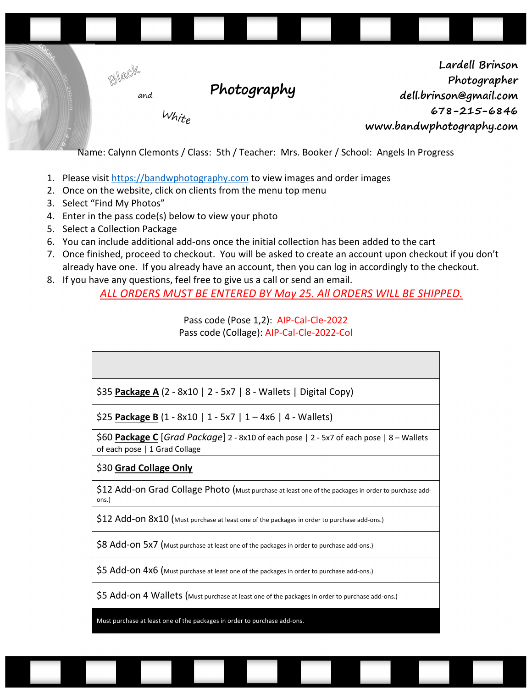

Name: Calynn Clemonts / Class: 5th / Teacher: Mrs. Booker / School: Angels In Progress

- 1. Please visit https://bandwphotography.com to view images and order images
- 2. Once on the website, click on clients from the menu top menu
- 3. Select "Find My Photos"
- 4. Enter in the pass code(s) below to view your photo
- 5. Select a Collection Package
- 6. You can include additional add-ons once the initial collection has been added to the cart
- 7. Once finished, proceed to checkout. You will be asked to create an account upon checkout if you don't already have one. If you already have an account, then you can log in accordingly to the checkout.
- 8. If you have any questions, feel free to give us a call or send an email.

*ALL ORDERS MUST BE ENTERED BY May 25. All ORDERS WILL BE SHIPPED.*

Pass code (Pose 1,2): AIP-Cal-Cle-2022 Pass code (Collage): AIP-Cal-Cle-2022-Col

| \$35 Package A $(2 - 8x10 \mid 2 - 5x7 \mid 8 -$ Wallets   Digital Copy) |  |
|--------------------------------------------------------------------------|--|

\$25 **Package B** (1 - 8x10 | 1 - 5x7 | 1 – 4x6 | 4 - Wallets)

\$60 **Package C** [*Grad Package*] 2 - 8x10 of each pose | 2 - 5x7 of each pose | 8 – Wallets of each pose | 1 Grad Collage

# \$30 **Grad Collage Only**

\$12 Add-on Grad Collage Photo (Must purchase at least one of the packages in order to purchase addons.)

\$12 Add-ON 8x10 (Must purchase at least one of the packages in order to purchase add-ons.)

\$8 Add-ON 5x7 (Must purchase at least one of the packages in order to purchase add-ons.)

\$5 Add-on 4x6 (Must purchase at least one of the packages in order to purchase add-ons.)

\$5 Add-on 4 Wallets (Must purchase at least one of the packages in order to purchase add-ons.)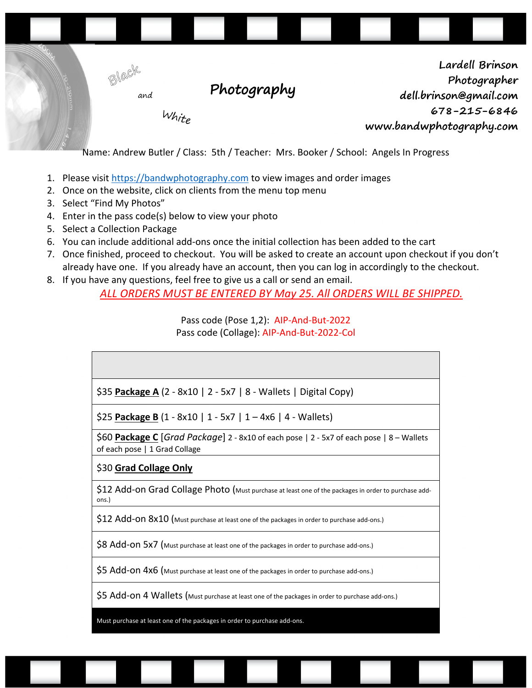

Name: Andrew Butler / Class: 5th / Teacher: Mrs. Booker / School: Angels In Progress

- 1. Please visit https://bandwphotography.com to view images and order images
- 2. Once on the website, click on clients from the menu top menu
- 3. Select "Find My Photos"
- 4. Enter in the pass code(s) below to view your photo
- 5. Select a Collection Package
- 6. You can include additional add-ons once the initial collection has been added to the cart
- 7. Once finished, proceed to checkout. You will be asked to create an account upon checkout if you don't already have one. If you already have an account, then you can log in accordingly to the checkout.
- 8. If you have any questions, feel free to give us a call or send an email.

*ALL ORDERS MUST BE ENTERED BY May 25. All ORDERS WILL BE SHIPPED.*

Pass code (Pose 1,2): AIP-And-But-2022 Pass code (Collage): AIP-And-But-2022-Col

\$25 **Package B** (1 - 8x10 | 1 - 5x7 | 1 – 4x6 | 4 - Wallets)

\$60 **Package C** [*Grad Package*] 2 - 8x10 of each pose | 2 - 5x7 of each pose | 8 – Wallets of each pose | 1 Grad Collage

#### \$30 **Grad Collage Only**

\$12 Add-on Grad Collage Photo (Must purchase at least one of the packages in order to purchase addons.)

\$12 Add-ON 8x10 (Must purchase at least one of the packages in order to purchase add-ons.)

\$8 Add-ON 5x7 (Must purchase at least one of the packages in order to purchase add-ons.)

\$5 Add-on 4x6 (Must purchase at least one of the packages in order to purchase add-ons.)

\$5 Add-on 4 Wallets (Must purchase at least one of the packages in order to purchase add-ons.)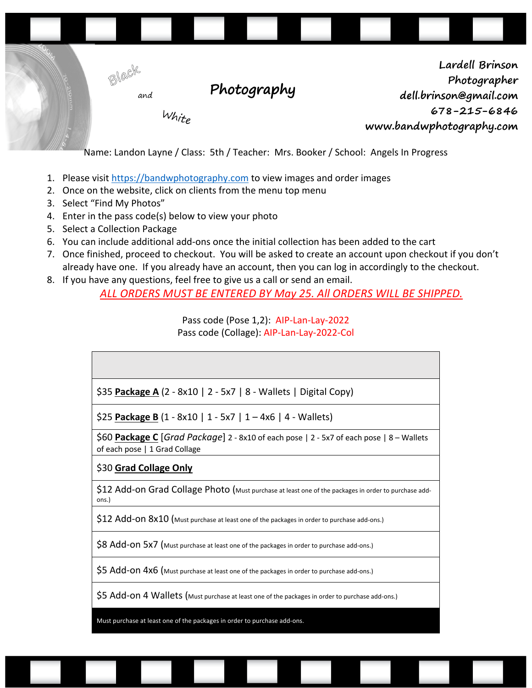

Name: Landon Layne / Class: 5th / Teacher: Mrs. Booker / School: Angels In Progress

- 1. Please visit https://bandwphotography.com to view images and order images
- 2. Once on the website, click on clients from the menu top menu
- 3. Select "Find My Photos"
- 4. Enter in the pass code(s) below to view your photo
- 5. Select a Collection Package
- 6. You can include additional add-ons once the initial collection has been added to the cart
- 7. Once finished, proceed to checkout. You will be asked to create an account upon checkout if you don't already have one. If you already have an account, then you can log in accordingly to the checkout.
- 8. If you have any questions, feel free to give us a call or send an email.

*ALL ORDERS MUST BE ENTERED BY May 25. All ORDERS WILL BE SHIPPED.*

Pass code (Pose 1,2): AIP-Lan-Lay-2022 Pass code (Collage): AIP-Lan-Lay-2022-Col

| \$35 <b>Package A</b> (2 - 8x10   2 - 5x7   8 - Wallets   Digital Copy)                                                   |
|---------------------------------------------------------------------------------------------------------------------------|
| \$25 Package B $(1 - 8x10 \mid 1 - 5x7 \mid 1 - 4x6 \mid 4 - Wallets)$                                                    |
| \$60 Package C [Grad Package] 2 - 8x10 of each pose   2 - 5x7 of each pose   8 – Wallets<br>of each pose   1 Grad Collage |
| \$30 Grad Collage Only                                                                                                    |
| \$12 Add-on Grad Collage Photo (Must purchase at least one of the packages in order to purchase add-<br>ons.)             |
| \$12 Add-On 8x10 (Must purchase at least one of the packages in order to purchase add-ons.)                               |
| \$8 Add-ON 5x7 (Must purchase at least one of the packages in order to purchase add-ons.)                                 |
| \$5 Add-On 4x6 (Must purchase at least one of the packages in order to purchase add-ons.)                                 |
| \$5 Add-on 4 Wallets (Must purchase at least one of the packages in order to purchase add-ons.)                           |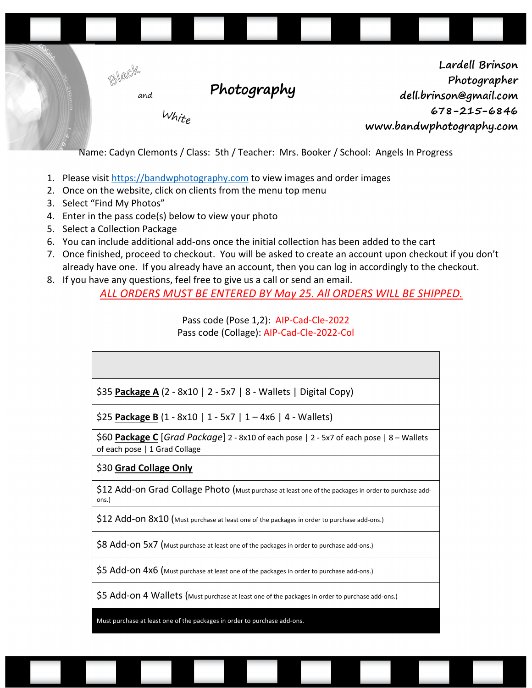

Name: Cadyn Clemonts / Class: 5th / Teacher: Mrs. Booker / School: Angels In Progress

- 1. Please visit https://bandwphotography.com to view images and order images
- 2. Once on the website, click on clients from the menu top menu
- 3. Select "Find My Photos"
- 4. Enter in the pass code(s) below to view your photo
- 5. Select a Collection Package
- 6. You can include additional add-ons once the initial collection has been added to the cart
- 7. Once finished, proceed to checkout. You will be asked to create an account upon checkout if you don't already have one. If you already have an account, then you can log in accordingly to the checkout.
- 8. If you have any questions, feel free to give us a call or send an email.

*ALL ORDERS MUST BE ENTERED BY May 25. All ORDERS WILL BE SHIPPED.*

Pass code (Pose 1,2): AIP-Cad-Cle-2022 Pass code (Collage): AIP-Cad-Cle-2022-Col

| \$35 Package A (2 - 8x10   2 - 5x7   8 - Wallets   Digital Copy)                                                          |
|---------------------------------------------------------------------------------------------------------------------------|
| \$25 Package B $(1 - 8x10 \mid 1 - 5x7 \mid 1 - 4x6 \mid 4 - Wallets)$                                                    |
| \$60 Package C [Grad Package] 2 - 8x10 of each pose   2 - 5x7 of each pose   8 - Wallets<br>of each pose   1 Grad Collage |
| \$30 Grad Collage Only                                                                                                    |
| \$12 Add-on Grad Collage Photo (Must purchase at least one of the packages in order to purchase add-<br>ons.)             |
| \$12 Add-ON 8x10 (Must purchase at least one of the packages in order to purchase add-ons.)                               |
| \$8 Add-ON 5x7 (Must purchase at least one of the packages in order to purchase add-ons.)                                 |
| \$5 Add-on 4x6 (Must purchase at least one of the packages in order to purchase add-ons.)                                 |

\$5 Add-on 4 Wallets (Must purchase at least one of the packages in order to purchase add-ons.)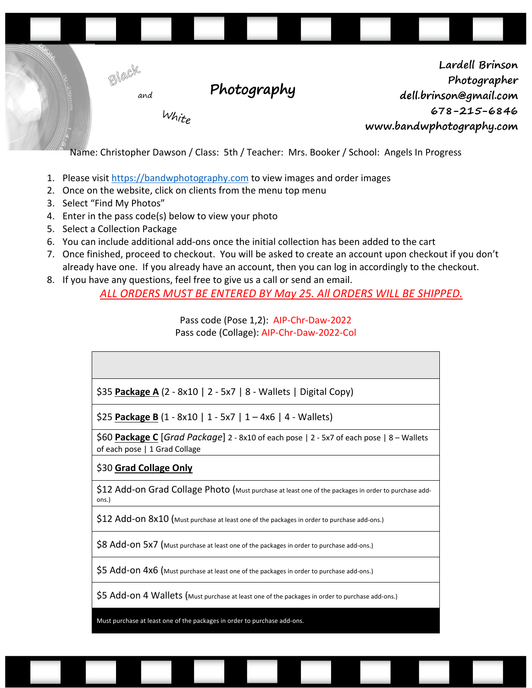

Name: Christopher Dawson / Class: 5th / Teacher: Mrs. Booker / School: Angels In Progress

- 1. Please visit https://bandwphotography.com to view images and order images
- 2. Once on the website, click on clients from the menu top menu
- 3. Select "Find My Photos"
- 4. Enter in the pass code(s) below to view your photo
- 5. Select a Collection Package
- 6. You can include additional add-ons once the initial collection has been added to the cart
- 7. Once finished, proceed to checkout. You will be asked to create an account upon checkout if you don't already have one. If you already have an account, then you can log in accordingly to the checkout.
- 8. If you have any questions, feel free to give us a call or send an email.

*ALL ORDERS MUST BE ENTERED BY May 25. All ORDERS WILL BE SHIPPED.*

Pass code (Pose 1,2): AIP-Chr-Daw-2022 Pass code (Collage): AIP-Chr-Daw-2022-Col

| $\frac{1}{2}$ \$35 Package A (2 - 8x10   2 - 5x7   8 - Wallets   Digital Copy) |  |
|--------------------------------------------------------------------------------|--|

\$25 **Package B** (1 - 8x10 | 1 - 5x7 | 1 – 4x6 | 4 - Wallets)

\$60 **Package C** [*Grad Package*] 2 - 8x10 of each pose | 2 - 5x7 of each pose | 8 – Wallets of each pose | 1 Grad Collage

# \$30 **Grad Collage Only**

\$12 Add-on Grad Collage Photo (Must purchase at least one of the packages in order to purchase addons.)

\$12 Add-ON 8x10 (Must purchase at least one of the packages in order to purchase add-ons.)

\$8 Add-ON 5x7 (Must purchase at least one of the packages in order to purchase add-ons.)

\$5 Add-on 4x6 (Must purchase at least one of the packages in order to purchase add-ons.)

\$5 Add-on 4 Wallets (Must purchase at least one of the packages in order to purchase add-ons.)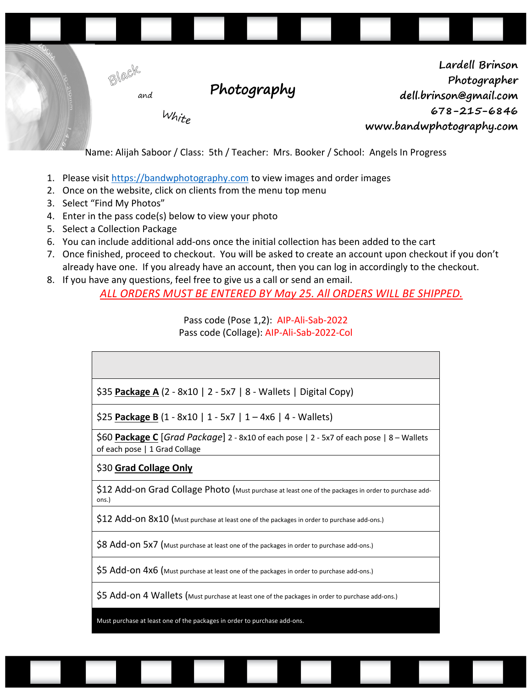

Name: Alijah Saboor / Class: 5th / Teacher: Mrs. Booker / School: Angels In Progress

- 1. Please visit https://bandwphotography.com to view images and order images
- 2. Once on the website, click on clients from the menu top menu
- 3. Select "Find My Photos"
- 4. Enter in the pass code(s) below to view your photo
- 5. Select a Collection Package
- 6. You can include additional add-ons once the initial collection has been added to the cart
- 7. Once finished, proceed to checkout. You will be asked to create an account upon checkout if you don't already have one. If you already have an account, then you can log in accordingly to the checkout.
- 8. If you have any questions, feel free to give us a call or send an email.

*ALL ORDERS MUST BE ENTERED BY May 25. All ORDERS WILL BE SHIPPED.*

Pass code (Pose 1,2): AIP-Ali-Sab-2022 Pass code (Collage): AIP-Ali-Sab-2022-Col

| \$35 Package A (2 - 8x10   2 - 5x7   8 - Wallets   Digital Copy) |  |  |
|------------------------------------------------------------------|--|--|

\$25 **Package B** (1 - 8x10 | 1 - 5x7 | 1 – 4x6 | 4 - Wallets)

\$60 **Package C** [*Grad Package*] 2 - 8x10 of each pose | 2 - 5x7 of each pose | 8 – Wallets of each pose | 1 Grad Collage

# \$30 **Grad Collage Only**

\$12 Add-on Grad Collage Photo (Must purchase at least one of the packages in order to purchase addons.)

\$12 Add-ON 8x10 (Must purchase at least one of the packages in order to purchase add-ons.)

\$8 Add-ON 5x7 (Must purchase at least one of the packages in order to purchase add-ons.)

\$5 Add-on 4x6 (Must purchase at least one of the packages in order to purchase add-ons.)

\$5 Add-on 4 Wallets (Must purchase at least one of the packages in order to purchase add-ons.)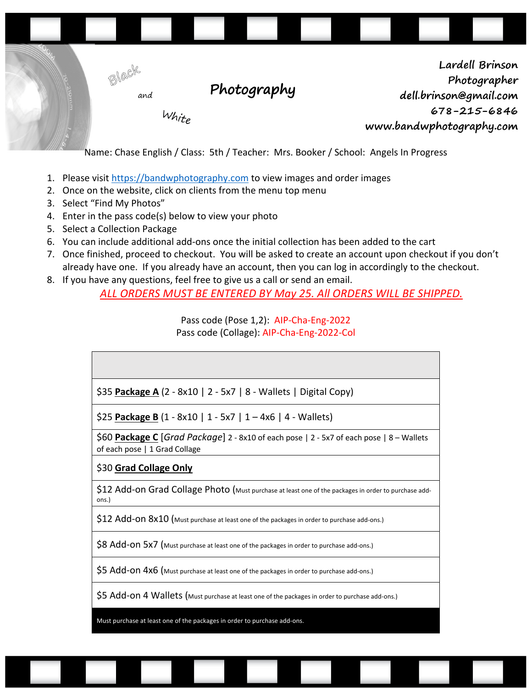

Name: Chase English / Class: 5th / Teacher: Mrs. Booker / School: Angels In Progress

- 1. Please visit https://bandwphotography.com to view images and order images
- 2. Once on the website, click on clients from the menu top menu
- 3. Select "Find My Photos"
- 4. Enter in the pass code(s) below to view your photo
- 5. Select a Collection Package
- 6. You can include additional add-ons once the initial collection has been added to the cart
- 7. Once finished, proceed to checkout. You will be asked to create an account upon checkout if you don't already have one. If you already have an account, then you can log in accordingly to the checkout.
- 8. If you have any questions, feel free to give us a call or send an email.

*ALL ORDERS MUST BE ENTERED BY May 25. All ORDERS WILL BE SHIPPED.*

Pass code (Pose 1,2): AIP-Cha-Eng-2022 Pass code (Collage): AIP-Cha-Eng-2022-Col

| \$35 Package A (2 - 8x10   2 - 5x7   8 - Wallets   Digital Copy) |  |
|------------------------------------------------------------------|--|

\$25 **Package B** (1 - 8x10 | 1 - 5x7 | 1 – 4x6 | 4 - Wallets)

\$60 **Package C** [*Grad Package*] 2 - 8x10 of each pose | 2 - 5x7 of each pose | 8 – Wallets of each pose | 1 Grad Collage

#### \$30 **Grad Collage Only**

\$12 Add-on Grad Collage Photo (Must purchase at least one of the packages in order to purchase addons.)

\$12 Add-ON 8x10 (Must purchase at least one of the packages in order to purchase add-ons.)

\$8 Add-ON 5x7 (Must purchase at least one of the packages in order to purchase add-ons.)

\$5 Add-on 4x6 (Must purchase at least one of the packages in order to purchase add-ons.)

\$5 Add-on 4 Wallets (Must purchase at least one of the packages in order to purchase add-ons.)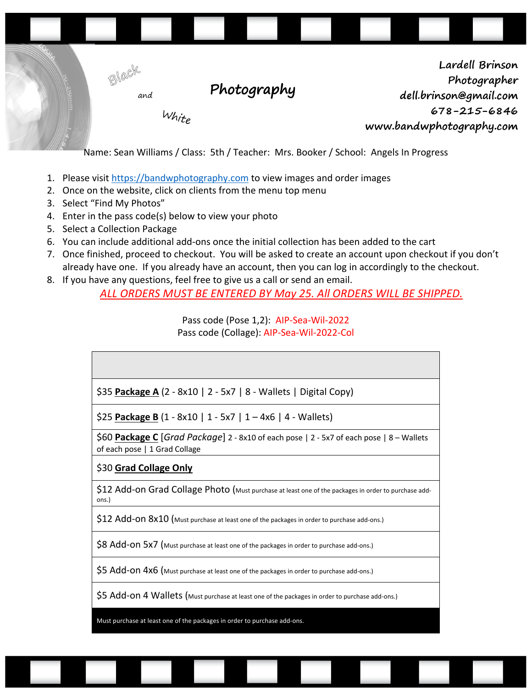

Name: Sean Williams / Class: 5th / Teacher: Mrs. Booker / School: Angels In Progress

- 1. Please visit https://bandwphotography.com to view images and order images
- 2. Once on the website, click on clients from the menu top menu
- 3. Select "Find My Photos"
- 4. Enter in the pass code(s) below to view your photo
- 5. Select a Collection Package
- 6. You can include additional add-ons once the initial collection has been added to the cart
- 7. Once finished, proceed to checkout. You will be asked to create an account upon checkout if you don't already have one. If you already have an account, then you can log in accordingly to the checkout.
- 8. If you have any questions, feel free to give us a call or send an email.

*ALL ORDERS MUST BE ENTERED BY May 25. All ORDERS WILL BE SHIPPED.*

Pass code (Pose 1,2): AIP-Sea-Wil-2022 Pass code (Collage): AIP-Sea-Wil-2022-Col

| \$35 Package A $(2 - 8x10 \mid 2 - 5x7 \mid 8 -$ Wallets   Digital Copy)                                                  |
|---------------------------------------------------------------------------------------------------------------------------|
| \$25 Package B $(1 - 8x10   1 - 5x7   1 - 4x6   4 - Wallets)$                                                             |
| \$60 Package C [Grad Package] 2 - 8x10 of each pose   2 - 5x7 of each pose   8 - Wallets<br>of each pose   1 Grad Collage |
| \$30 Grad Collage Only                                                                                                    |
| \$12 Add-on Grad Collage Photo (Must purchase at least one of the packages in order to purchase add-<br>ons.)             |
|                                                                                                                           |

\$12 Add-ON 8x10 (Must purchase at least one of the packages in order to purchase add-ons.)

\$8 Add-ON 5x7 (Must purchase at least one of the packages in order to purchase add-ons.)

\$5 Add-on 4x6 (Must purchase at least one of the packages in order to purchase add-ons.)

\$5 Add-on 4 Wallets (Must purchase at least one of the packages in order to purchase add-ons.)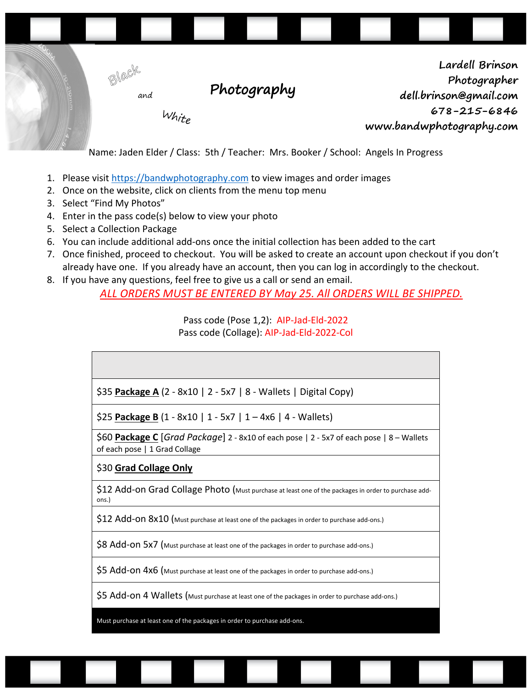

Name: Jaden Elder / Class: 5th / Teacher: Mrs. Booker / School: Angels In Progress

- 1. Please visit https://bandwphotography.com to view images and order images
- 2. Once on the website, click on clients from the menu top menu
- 3. Select "Find My Photos"
- 4. Enter in the pass code(s) below to view your photo
- 5. Select a Collection Package
- 6. You can include additional add-ons once the initial collection has been added to the cart
- 7. Once finished, proceed to checkout. You will be asked to create an account upon checkout if you don't already have one. If you already have an account, then you can log in accordingly to the checkout.
- 8. If you have any questions, feel free to give us a call or send an email.

*ALL ORDERS MUST BE ENTERED BY May 25. All ORDERS WILL BE SHIPPED.*

Pass code (Pose 1,2): AIP-Jad-Eld-2022 Pass code (Collage): AIP-Jad-Eld-2022-Col

| \$35 Package A (2 - 8x10   2 - 5x7   8 - Wallets   Digital Copy) |
|------------------------------------------------------------------|

\$25 **Package B** (1 - 8x10 | 1 - 5x7 | 1 – 4x6 | 4 - Wallets)

\$60 **Package C** [*Grad Package*] 2 - 8x10 of each pose | 2 - 5x7 of each pose | 8 – Wallets of each pose | 1 Grad Collage

#### \$30 **Grad Collage Only**

\$12 Add-on Grad Collage Photo (Must purchase at least one of the packages in order to purchase addons.)

\$12 Add-ON 8x10 (Must purchase at least one of the packages in order to purchase add-ons.)

\$8 Add-ON 5x7 (Must purchase at least one of the packages in order to purchase add-ons.)

\$5 Add-on 4x6 (Must purchase at least one of the packages in order to purchase add-ons.)

\$5 Add-on 4 Wallets (Must purchase at least one of the packages in order to purchase add-ons.)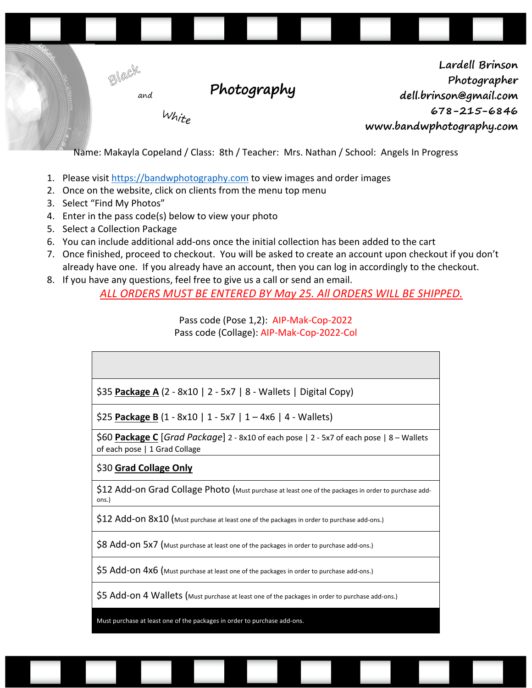

Name: Makayla Copeland / Class: 8th / Teacher: Mrs. Nathan / School: Angels In Progress

- 1. Please visit https://bandwphotography.com to view images and order images
- 2. Once on the website, click on clients from the menu top menu
- 3. Select "Find My Photos"
- 4. Enter in the pass code(s) below to view your photo
- 5. Select a Collection Package
- 6. You can include additional add-ons once the initial collection has been added to the cart
- 7. Once finished, proceed to checkout. You will be asked to create an account upon checkout if you don't already have one. If you already have an account, then you can log in accordingly to the checkout.
- 8. If you have any questions, feel free to give us a call or send an email.

*ALL ORDERS MUST BE ENTERED BY May 25. All ORDERS WILL BE SHIPPED.*

Pass code (Pose 1,2): AIP-Mak-Cop-2022 Pass code (Collage): AIP-Mak-Cop-2022-Col

| \$35 Package A (2 - 8x10   2 - 5x7   8 - Wallets   Digital Copy)                                                          |
|---------------------------------------------------------------------------------------------------------------------------|
| \$25 Package B $(1 - 8x10   1 - 5x7   1 - 4x6   4 - Wallest)$                                                             |
| \$60 Package C [Grad Package] 2 - 8x10 of each pose   2 - 5x7 of each pose   8 - Wallets<br>of each pose   1 Grad Collage |
| \$30 Grad Collage Only                                                                                                    |
| \$12 Add-on Grad Collage Photo (Must purchase at least one of the packages in order to purchase add-<br>ons.)             |
| \$12 Add-On 8x10 (Must purchase at least one of the packages in order to purchase add-ons.)                               |
| \$8 Add-ON 5x7 (Must purchase at least one of the packages in order to purchase add-ons.)                                 |
| \$5 Add-on 4x6 (Must purchase at least one of the packages in order to purchase add-ons.)                                 |
| \$5 Add-on 4 Wallets (Must purchase at least one of the packages in order to purchase add-ons.)                           |
|                                                                                                                           |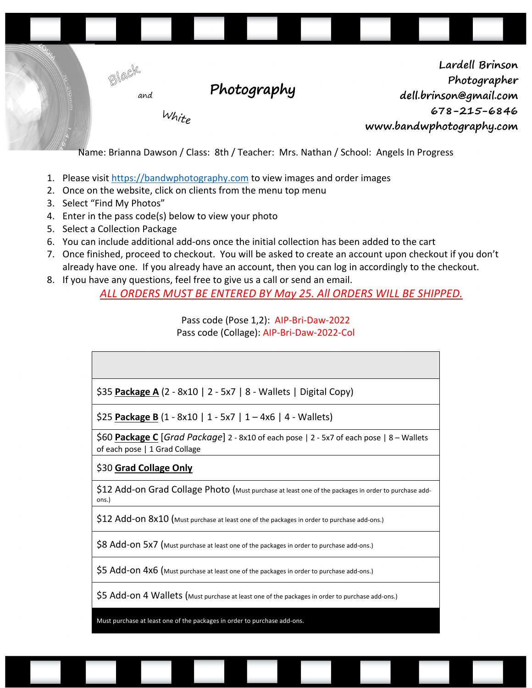

Name: Brianna Dawson / Class: 8th / Teacher: Mrs. Nathan / School: Angels In Progress

- 1. Please visit https://bandwphotography.com to view images and order images
- 2. Once on the website, click on clients from the menu top menu
- 3. Select "Find My Photos"
- 4. Enter in the pass code(s) below to view your photo
- 5. Select a Collection Package
- 6. You can include additional add-ons once the initial collection has been added to the cart
- 7. Once finished, proceed to checkout. You will be asked to create an account upon checkout if you don't already have one. If you already have an account, then you can log in accordingly to the checkout.
- 8. If you have any questions, feel free to give us a call or send an email.

*ALL ORDERS MUST BE ENTERED BY May 25. All ORDERS WILL BE SHIPPED.*

Pass code (Pose 1,2): AIP-Bri-Daw-2022 Pass code (Collage): AIP-Bri-Daw-2022-Col

| \$35 Package A (2 - 8x10   2 - 5x7   8 - Wallets   Digital Copy)                                                          |
|---------------------------------------------------------------------------------------------------------------------------|
| \$25 Package B $(1 - 8x10 \mid 1 - 5x7 \mid 1 - 4x6 \mid 4 - Wallets)$                                                    |
| \$60 Package C [Grad Package] 2 - 8x10 of each pose   2 - 5x7 of each pose   8 – Wallets<br>of each pose   1 Grad Collage |
| \$30 Grad Collage Only                                                                                                    |
| \$12 Add-on Grad Collage Photo (Must purchase at least one of the packages in order to purchase add-<br>ons.)             |
| $$12$ Add-ON $8x10$ (Must purchase at least one of the packages in order to purchase add-ons.)                            |
| \$8 Add-ON 5x7 (Must purchase at least one of the packages in order to purchase add-ons.)                                 |
| \$5 Add-On 4x6 (Must purchase at least one of the packages in order to purchase add-ons.)                                 |
| \$5 Add-on 4 Wallets (Must purchase at least one of the packages in order to purchase add-ons.)                           |
|                                                                                                                           |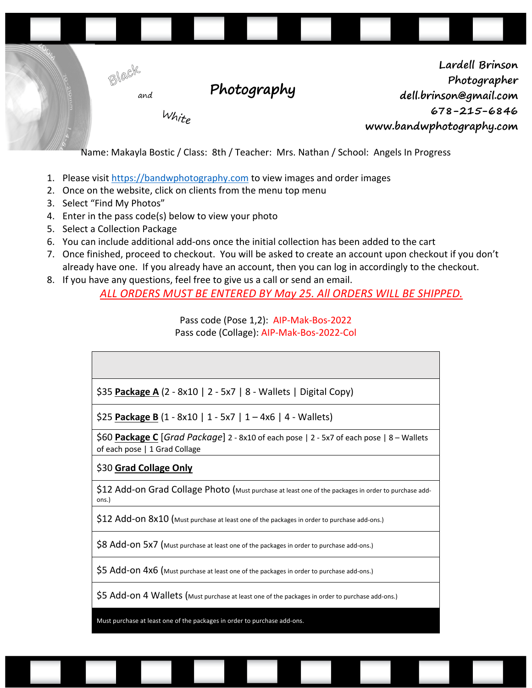

Name: Makayla Bostic / Class: 8th / Teacher: Mrs. Nathan / School: Angels In Progress

- 1. Please visit https://bandwphotography.com to view images and order images
- 2. Once on the website, click on clients from the menu top menu
- 3. Select "Find My Photos"
- 4. Enter in the pass code(s) below to view your photo
- 5. Select a Collection Package
- 6. You can include additional add-ons once the initial collection has been added to the cart
- 7. Once finished, proceed to checkout. You will be asked to create an account upon checkout if you don't already have one. If you already have an account, then you can log in accordingly to the checkout.
- 8. If you have any questions, feel free to give us a call or send an email.

*ALL ORDERS MUST BE ENTERED BY May 25. All ORDERS WILL BE SHIPPED.*

Pass code (Pose 1,2): AIP-Mak-Bos-2022 Pass code (Collage): AIP-Mak-Bos-2022-Col

| \$35 Package A (2 - 8x10   2 - 5x7   8 - Wallets   Digital Copy) |  |
|------------------------------------------------------------------|--|

\$25 **Package B** (1 - 8x10 | 1 - 5x7 | 1 – 4x6 | 4 - Wallets)

\$60 **Package C** [*Grad Package*] 2 - 8x10 of each pose | 2 - 5x7 of each pose | 8 – Wallets of each pose | 1 Grad Collage

# \$30 **Grad Collage Only**

\$12 Add-on Grad Collage Photo (Must purchase at least one of the packages in order to purchase addons.)

\$12 Add-ON 8x10 (Must purchase at least one of the packages in order to purchase add-ons.)

\$8 Add-ON 5x7 (Must purchase at least one of the packages in order to purchase add-ons.)

\$5 Add-on 4x6 (Must purchase at least one of the packages in order to purchase add-ons.)

\$5 Add-on 4 Wallets (Must purchase at least one of the packages in order to purchase add-ons.)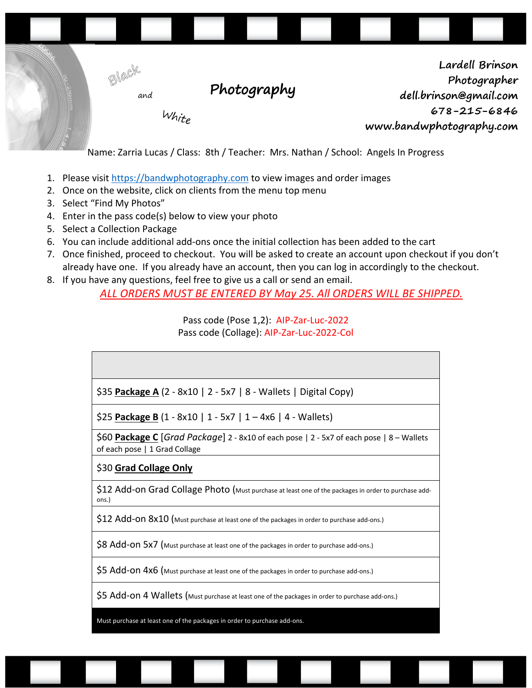

Name: Zarria Lucas / Class: 8th / Teacher: Mrs. Nathan / School: Angels In Progress

- 1. Please visit https://bandwphotography.com to view images and order images
- 2. Once on the website, click on clients from the menu top menu
- 3. Select "Find My Photos"
- 4. Enter in the pass code(s) below to view your photo
- 5. Select a Collection Package
- 6. You can include additional add-ons once the initial collection has been added to the cart
- 7. Once finished, proceed to checkout. You will be asked to create an account upon checkout if you don't already have one. If you already have an account, then you can log in accordingly to the checkout.
- 8. If you have any questions, feel free to give us a call or send an email.

*ALL ORDERS MUST BE ENTERED BY May 25. All ORDERS WILL BE SHIPPED.*

Pass code (Pose 1,2): AIP-Zar-Luc-2022 Pass code (Collage): AIP-Zar-Luc-2022-Col

| \$35 Package A (2 - 8x10   2 - 5x7   8 - Wallets   Digital Copy) |  |
|------------------------------------------------------------------|--|

\$25 **Package B** (1 - 8x10 | 1 - 5x7 | 1 – 4x6 | 4 - Wallets)

\$60 **Package C** [*Grad Package*] 2 - 8x10 of each pose | 2 - 5x7 of each pose | 8 – Wallets of each pose | 1 Grad Collage

# \$30 **Grad Collage Only**

\$12 Add-on Grad Collage Photo (Must purchase at least one of the packages in order to purchase addons.)

\$12 Add-ON 8x10 (Must purchase at least one of the packages in order to purchase add-ons.)

\$8 Add-ON 5x7 (Must purchase at least one of the packages in order to purchase add-ons.)

\$5 Add-on 4x6 (Must purchase at least one of the packages in order to purchase add-ons.)

\$5 Add-on 4 Wallets (Must purchase at least one of the packages in order to purchase add-ons.)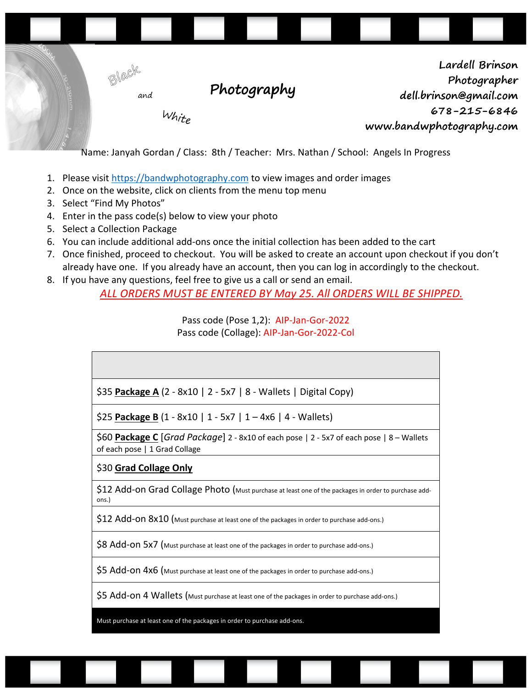

Name: Janyah Gordan / Class: 8th / Teacher: Mrs. Nathan / School: Angels In Progress

- 1. Please visit https://bandwphotography.com to view images and order images
- 2. Once on the website, click on clients from the menu top menu
- 3. Select "Find My Photos"
- 4. Enter in the pass code(s) below to view your photo
- 5. Select a Collection Package
- 6. You can include additional add-ons once the initial collection has been added to the cart
- 7. Once finished, proceed to checkout. You will be asked to create an account upon checkout if you don't already have one. If you already have an account, then you can log in accordingly to the checkout.
- 8. If you have any questions, feel free to give us a call or send an email.

*ALL ORDERS MUST BE ENTERED BY May 25. All ORDERS WILL BE SHIPPED.*

Pass code (Pose 1,2): AIP-Jan-Gor-2022 Pass code (Collage): AIP-Jan-Gor-2022-Col

| \$35 Package A (2 - 8x10   2 - 5x7   8 - Wallets   Digital Copy)                                                          |
|---------------------------------------------------------------------------------------------------------------------------|
| \$25 Package B (1 - 8x10   1 - 5x7   1 - 4x6   4 - Wallets)                                                               |
| \$60 Package C [Grad Package] 2 - 8x10 of each pose   2 - 5x7 of each pose   8 – Wallets<br>of each pose   1 Grad Collage |
| \$30 Grad Collage Only                                                                                                    |
| \$12 Add-on Grad Collage Photo (Must purchase at least one of the packages in order to purchase add-<br>ons.)             |
| $$12$ Add-ON $8x10$ (Must purchase at least one of the packages in order to purchase add-ons.)                            |
| \$8 Add-ON 5x7 (Must purchase at least one of the packages in order to purchase add-ons.)                                 |
| \$5 Add-On 4x6 (Must purchase at least one of the packages in order to purchase add-ons.)                                 |
| \$5 Add-on 4 Wallets (Must purchase at least one of the packages in order to purchase add-ons.)                           |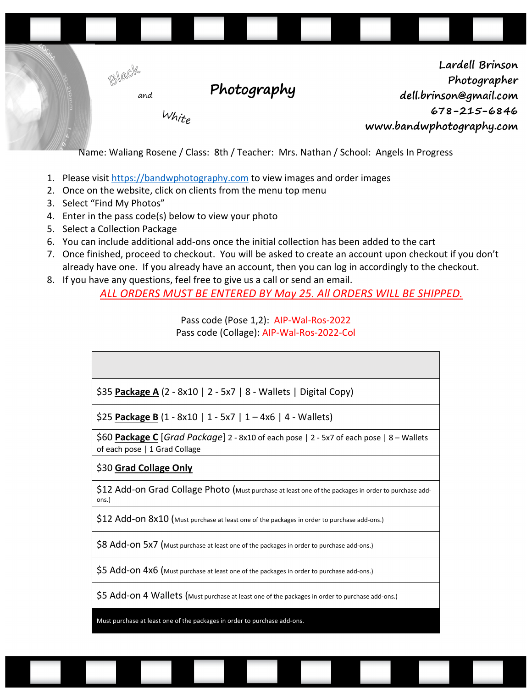

Name: Waliang Rosene / Class: 8th / Teacher: Mrs. Nathan / School: Angels In Progress

- 1. Please visit https://bandwphotography.com to view images and order images
- 2. Once on the website, click on clients from the menu top menu
- 3. Select "Find My Photos"
- 4. Enter in the pass code(s) below to view your photo
- 5. Select a Collection Package
- 6. You can include additional add-ons once the initial collection has been added to the cart
- 7. Once finished, proceed to checkout. You will be asked to create an account upon checkout if you don't already have one. If you already have an account, then you can log in accordingly to the checkout.
- 8. If you have any questions, feel free to give us a call or send an email.

*ALL ORDERS MUST BE ENTERED BY May 25. All ORDERS WILL BE SHIPPED.*

Pass code (Pose 1,2): AIP-Wal-Ros-2022 Pass code (Collage): AIP-Wal-Ros-2022-Col

| \$35 Package A (2 - 8x10   2 - 5x7   8 - Wallets   Digital Copy) |  |
|------------------------------------------------------------------|--|

\$25 **Package B** (1 - 8x10 | 1 - 5x7 | 1 – 4x6 | 4 - Wallets)

\$60 **Package C** [*Grad Package*] 2 - 8x10 of each pose | 2 - 5x7 of each pose | 8 – Wallets of each pose | 1 Grad Collage

# \$30 **Grad Collage Only**

\$12 Add-on Grad Collage Photo (Must purchase at least one of the packages in order to purchase addons.)

\$12 Add-ON 8x10 (Must purchase at least one of the packages in order to purchase add-ons.)

\$8 Add-ON 5x7 (Must purchase at least one of the packages in order to purchase add-ons.)

\$5 Add-on 4x6 (Must purchase at least one of the packages in order to purchase add-ons.)

\$5 Add-on 4 Wallets (Must purchase at least one of the packages in order to purchase add-ons.)